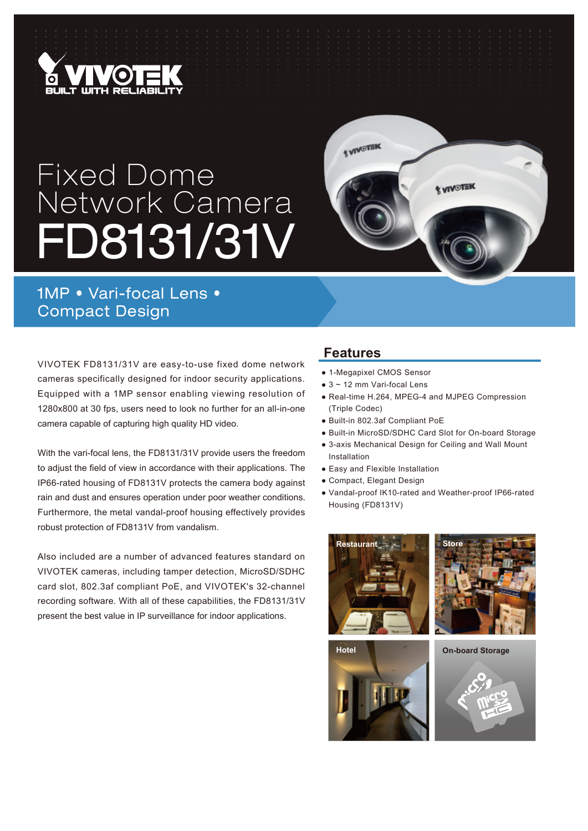

# Fixed Dome Network Camera FD8131/31V



## 1MP • Vari-focal Lens • Compact Design

VIVOTEK FD8131/31V are easy-to-use fixed dome network cameras specifically designed for indoor security applications. Equipped with a 1MP sensor enabling viewing resolution of 1280x800 at 30 fps, users need to look no further for an all-in-one camera capable of capturing high quality HD video.

With the vari-focal lens, the FD8131/31V provide users the freedom to adjust the field of view in accordance with their applications. The IP66-rated housing of FD8131V protects the camera body against rain and dust and ensures operation under poor weather conditions. Furthermore, the metal vandal-proof housing effectively provides robust protection of FD8131V from vandalism.

Also included are a number of advanced features standard on VIVOTEK cameras, including tamper detection, MicroSD/SDHC card slot, 802.3af compliant PoE, and VIVOTEK's 32-channel recording software. With all of these capabilities, the FD8131/31V present the best value in IP surveillance for indoor applications.

#### **Features**

- 1-Megapixel CMOS Sensor
- $\bullet$  3 ~ 12 mm Vari-focal Lens
- Real-time H.264, MPEG-4 and MJPEG Compression (Triple Codec)
- Built-in 802.3af Compliant PoE
- Built-in MicroSD/SDHC Card Slot for On-board Storage
- 3-axis Mechanical Design for Ceiling and Wall Mount Installation
- Easy and Flexible Installation
- Compact, Elegant Design
- Vandal-proof IK10-rated and Weather-proof IP66-rated Housing (FD8131V)